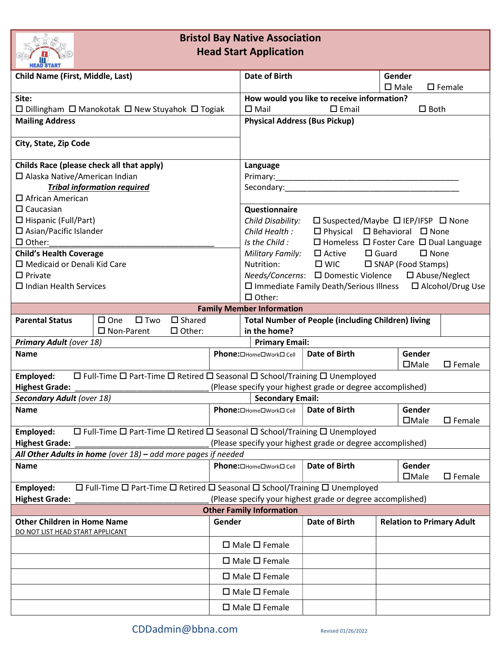

## Bristol Bay Native Association Head Start Application

| <b>MEAD JIAN</b> I                                                                                                     |                                                                                                           |        |                                                                                       |                                                                   |                                  |                  |                  |
|------------------------------------------------------------------------------------------------------------------------|-----------------------------------------------------------------------------------------------------------|--------|---------------------------------------------------------------------------------------|-------------------------------------------------------------------|----------------------------------|------------------|------------------|
| <b>Child Name (First, Middle, Last)</b>                                                                                |                                                                                                           |        | <b>Date of Birth</b>                                                                  |                                                                   | Gender<br>$\square$ Male         |                  | $\square$ Female |
| Site:                                                                                                                  |                                                                                                           |        | How would you like to receive information?                                            |                                                                   |                                  |                  |                  |
| $\Box$ Dillingham $\Box$ Manokotak $\Box$ New Stuyahok $\Box$ Togiak                                                   |                                                                                                           |        | $\square$ Mail<br>$\square$ Email<br>$\square$ Both                                   |                                                                   |                                  |                  |                  |
| <b>Mailing Address</b>                                                                                                 |                                                                                                           |        | <b>Physical Address (Bus Pickup)</b>                                                  |                                                                   |                                  |                  |                  |
| City, State, Zip Code                                                                                                  |                                                                                                           |        |                                                                                       |                                                                   |                                  |                  |                  |
| Childs Race (please check all that apply)                                                                              |                                                                                                           |        | Language                                                                              |                                                                   |                                  |                  |                  |
| □ Alaska Native/American Indian                                                                                        |                                                                                                           |        |                                                                                       |                                                                   |                                  |                  |                  |
| <b>Tribal information required</b>                                                                                     |                                                                                                           |        |                                                                                       |                                                                   |                                  |                  |                  |
| $\Box$ African American                                                                                                |                                                                                                           |        |                                                                                       |                                                                   |                                  |                  |                  |
| $\Box$ Caucasian                                                                                                       |                                                                                                           |        | Questionnaire                                                                         |                                                                   |                                  |                  |                  |
| $\Box$ Hispanic (Full/Part)                                                                                            |                                                                                                           |        | Child Disability:<br>□ Suspected/Maybe □ IEP/IFSP □ None                              |                                                                   |                                  |                  |                  |
| $\Box$ Asian/Pacific Islander                                                                                          |                                                                                                           |        | $\Box$ Physical $\Box$ Behavioral $\Box$ None<br>Child Health :                       |                                                                   |                                  |                  |                  |
| $\Box$ Other:                                                                                                          |                                                                                                           |        | Is the Child:<br>$\Box$ Homeless $\Box$ Foster Care $\Box$ Dual Language              |                                                                   |                                  |                  |                  |
| <b>Child's Health Coverage</b>                                                                                         |                                                                                                           |        | $\square$ Active<br>$\Box$ Guard<br>$\square$ None<br>Military Family:                |                                                                   |                                  |                  |                  |
| □ Medicaid or Denali Kid Care                                                                                          |                                                                                                           |        | Nutrition:<br>$\square$ WIC<br>$\square$ SNAP (Food Stamps)                           |                                                                   |                                  |                  |                  |
| $\Box$ Private                                                                                                         |                                                                                                           |        | Needs/Concerns: □ Domestic Violence<br>$\square$ Abuse/Neglect                        |                                                                   |                                  |                  |                  |
| $\Box$ Indian Health Services                                                                                          |                                                                                                           |        | □ Immediate Family Death/Serious Illness □ Alcohol/Drug Use                           |                                                                   |                                  |                  |                  |
|                                                                                                                        |                                                                                                           |        | $\Box$ Other:                                                                         |                                                                   |                                  |                  |                  |
| <b>Family Member Information</b>                                                                                       |                                                                                                           |        |                                                                                       |                                                                   |                                  |                  |                  |
| <b>Parental Status</b>                                                                                                 | $\square$ Shared<br>$\square$ Two<br>$\square$ One                                                        |        |                                                                                       | <b>Total Number of People (including Children) living</b>         |                                  |                  |                  |
|                                                                                                                        | $\Box$ Other:<br>$\square$ Non-Parent                                                                     |        | in the home?                                                                          |                                                                   |                                  |                  |                  |
| <b>Primary Adult (over 18)</b>                                                                                         |                                                                                                           |        | <b>Primary Email:</b>                                                                 |                                                                   |                                  |                  |                  |
| <b>Name</b>                                                                                                            |                                                                                                           |        | Phone: <b>DHome</b> DWork D Cell                                                      | Date of Birth                                                     |                                  | Gender           |                  |
|                                                                                                                        |                                                                                                           |        |                                                                                       |                                                                   | $\Box$ Male                      |                  | $\square$ Female |
| $\Box$ Full-Time $\Box$ Part-Time $\Box$ Retired $\Box$ Seasonal $\Box$ School/Training $\Box$ Unemployed<br>Employed: |                                                                                                           |        |                                                                                       |                                                                   |                                  |                  |                  |
| <b>Highest Grade:</b>                                                                                                  |                                                                                                           |        | (Please specify your highest grade or degree accomplished)<br><b>Secondary Email:</b> |                                                                   |                                  |                  |                  |
| <b>Secondary Adult (over 18)</b>                                                                                       |                                                                                                           |        | <b>Date of Birth</b><br>Gender<br><b>Phone:</b> □Home□Work□ Cell                      |                                                                   |                                  |                  |                  |
| <b>Name</b>                                                                                                            |                                                                                                           |        | $\Box$ Male                                                                           |                                                                   |                                  | $\square$ Female |                  |
| $\Box$ Full-Time $\Box$ Part-Time $\Box$ Retired $\Box$ Seasonal $\Box$ School/Training $\Box$ Unemployed<br>Employed: |                                                                                                           |        |                                                                                       |                                                                   |                                  |                  |                  |
| <b>Highest Grade:</b>                                                                                                  |                                                                                                           |        |                                                                                       | (Please specify your highest grade or degree accomplished)        |                                  |                  |                  |
|                                                                                                                        | All Other Adults in home (over $18$ ) – add more pages if needed                                          |        |                                                                                       |                                                                   |                                  |                  |                  |
| <b>Name</b>                                                                                                            |                                                                                                           |        | Phone: <b>OHome</b> D Work D Cell                                                     | <b>Date of Birth</b><br>Gender<br>$\Box$ Male<br>$\square$ Female |                                  |                  |                  |
| Employed:                                                                                                              | $\Box$ Full-Time $\Box$ Part-Time $\Box$ Retired $\Box$ Seasonal $\Box$ School/Training $\Box$ Unemployed |        |                                                                                       |                                                                   |                                  |                  |                  |
| <b>Highest Grade:</b>                                                                                                  |                                                                                                           |        |                                                                                       | (Please specify your highest grade or degree accomplished)        |                                  |                  |                  |
| <b>Other Family Information</b>                                                                                        |                                                                                                           |        |                                                                                       |                                                                   |                                  |                  |                  |
| <b>Other Children in Home Name</b>                                                                                     |                                                                                                           | Gender |                                                                                       | <b>Date of Birth</b>                                              | <b>Relation to Primary Adult</b> |                  |                  |
| DO NOT LIST HEAD START APPLICANT                                                                                       |                                                                                                           |        |                                                                                       |                                                                   |                                  |                  |                  |
|                                                                                                                        |                                                                                                           |        | $\Box$ Male $\Box$ Female                                                             |                                                                   |                                  |                  |                  |
|                                                                                                                        |                                                                                                           |        | $\Box$ Male $\Box$ Female                                                             |                                                                   |                                  |                  |                  |
|                                                                                                                        |                                                                                                           |        | $\Box$ Male $\Box$ Female                                                             |                                                                   |                                  |                  |                  |
|                                                                                                                        |                                                                                                           |        | $\Box$ Male $\Box$ Female                                                             |                                                                   |                                  |                  |                  |
|                                                                                                                        |                                                                                                           |        | $\Box$ Male $\Box$ Female                                                             |                                                                   |                                  |                  |                  |